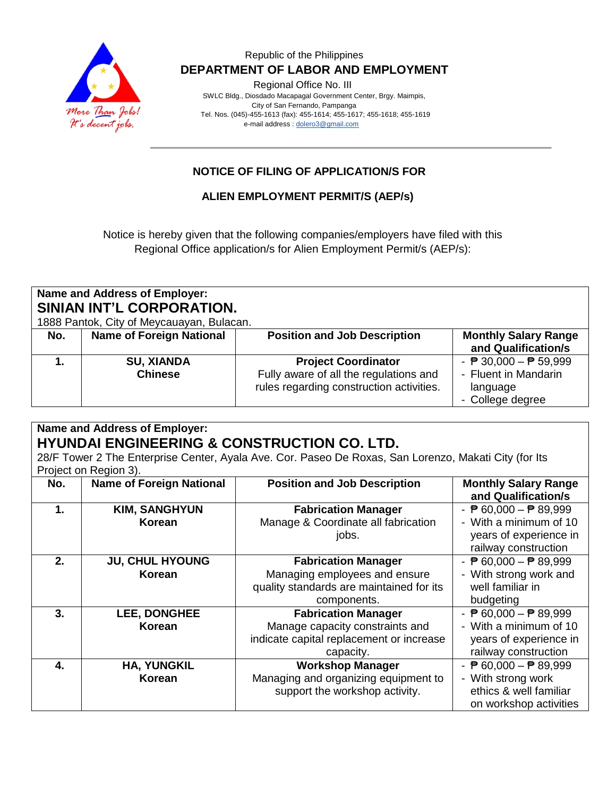

#### Republic of the Philippines  **DEPARTMENT OF LABOR AND EMPLOYMENT**

Regional Office No. III

 SWLC Bldg., Diosdado Macapagal Government Center, Brgy. Maimpis, City of San Fernando, Pampanga Tel. Nos. (045)-455-1613 (fax): 455-1614; 455-1617; 455-1618; 455-1619 e-mail address [: dolero3@gmail.com](mailto:dolero3@gmail.com)

## **NOTICE OF FILING OF APPLICATION/S FOR**

### **ALIEN EMPLOYMENT PERMIT/S (AEP/s)**

Notice is hereby given that the following companies/employers have filed with this Regional Office application/s for Alien Employment Permit/s (AEP/s):

| Name and Address of Employer:<br>SINIAN INT'L CORPORATION.<br>1888 Pantok, City of Meycauayan, Bulacan. |                                     |                                                                                                                  |                                                                                                         |  |  |  |
|---------------------------------------------------------------------------------------------------------|-------------------------------------|------------------------------------------------------------------------------------------------------------------|---------------------------------------------------------------------------------------------------------|--|--|--|
| No.                                                                                                     | <b>Name of Foreign National</b>     | <b>Position and Job Description</b>                                                                              | <b>Monthly Salary Range</b><br>and Qualification/s                                                      |  |  |  |
|                                                                                                         | <b>SU, XIANDA</b><br><b>Chinese</b> | <b>Project Coordinator</b><br>Fully aware of all the regulations and<br>rules regarding construction activities. | - $\overline{P}$ 30,000 - $\overline{P}$ 59,999<br>- Fluent in Mandarin<br>language<br>- College degree |  |  |  |

#### **Name and Address of Employer: HYUNDAI ENGINEERING & CONSTRUCTION CO. LTD.**

28/F Tower 2 The Enterprise Center, Ayala Ave. Cor. Paseo De Roxas, San Lorenzo, Makati City (for Its Project on Region 3).

| No. | <b>Name of Foreign National</b>  | <b>Position and Job Description</b>                                                                                    | <b>Monthly Salary Range</b><br>and Qualification/s                                                                          |
|-----|----------------------------------|------------------------------------------------------------------------------------------------------------------------|-----------------------------------------------------------------------------------------------------------------------------|
| 1.  | <b>KIM, SANGHYUN</b><br>Korean   | <b>Fabrication Manager</b><br>Manage & Coordinate all fabrication<br>jobs.                                             | - $\overline{P}$ 60,000 - $\overline{P}$ 89,999<br>- With a minimum of 10<br>years of experience in<br>railway construction |
| 2.  | <b>JU, CHUL HYOUNG</b><br>Korean | <b>Fabrication Manager</b><br>Managing employees and ensure<br>quality standards are maintained for its<br>components. | - $\overline{P}$ 60,000 - $\overline{P}$ 89,999<br>- With strong work and<br>well familiar in<br>budgeting                  |
| 3.  | LEE, DONGHEE<br>Korean           | <b>Fabrication Manager</b><br>Manage capacity constraints and<br>indicate capital replacement or increase<br>capacity. | - $\overline{P}$ 60,000 - $\overline{P}$ 89,999<br>- With a minimum of 10<br>years of experience in<br>railway construction |
| 4.  | <b>HA, YUNGKIL</b><br>Korean     | <b>Workshop Manager</b><br>Managing and organizing equipment to<br>support the workshop activity.                      | - $\overline{P}$ 60,000 - $\overline{P}$ 89,999<br>- With strong work<br>ethics & well familiar<br>on workshop activities   |